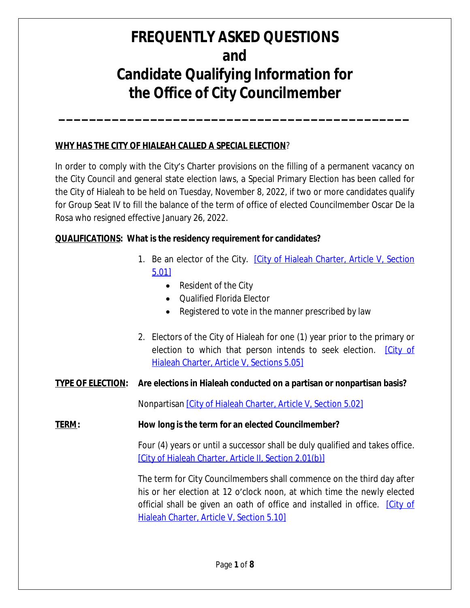**\_\_\_\_\_\_\_\_\_\_\_\_\_\_\_\_\_\_\_\_\_\_\_\_\_\_\_\_\_\_\_\_\_\_\_\_\_\_\_\_\_\_\_\_\_\_**

#### **WHY HAS THE CITY OF HIALEAH CALLED A SPECIAL ELECTION**?

In order to comply with the City's Charter provisions on the filling of a permanent vacancy on the City Council and general state election laws, a Special Primary Election has been called for the City of Hialeah to be held on Tuesday, November 8, 2022, if two or more candidates qualify for Group Seat IV to fill the balance of the term of office of elected Councilmember Oscar De la Rosa who resigned effective January 26, 2022.

### **QUALIFICATIONS: What is the residency requirement for candidates?**

- 1. Be an elector of the City. *[\[City of Hialeah Charter, Article V, Section](https://www.municode.com/library/fl/hialeah/codes/code_of_ordinances?nodeId=PTICH_ARTVEL_S5.01EL)* 5.01]
	- Resident of the City
	- Qualified Florida Elector
	- Registered to vote in the manner prescribed by law
- 2. Electors of the City of Hialeah for one (1) year prior to the primary or election to which that person intends to seek election. **City of** Hialeah Charter, Article V, Sections 5.05]

### **TYPE OF ELECTION: Are elections in Hialeah conducted on a partisan or nonpartisan basis?**

Nonpartisan [\[City of Hialeah Charter, Article V, Section 5.02\]](https://www.municode.com/library/fl/hialeah/codes/code_of_ordinances?nodeId=PTICH_ARTVEL_S5.02NOEL)

### **TERM: How long is the term for an elected Councilmember?**

Four (4) years or until a successor shall be duly qualified and takes office. [\[City of Hialeah Charter, Article II, Section 2.01\(b\)\]](https://www.municode.com/library/fl/hialeah/codes/code_of_ordinances?nodeId=PTICH_ARTIIMACO_S2.01MA)

The [term](https://www.municode.com/library/fl/hialeah/codes/code_of_ordinances?nodeId=PTICH_ARTIIMACO_S2.01MA) for [City](https://www.municode.com/library/fl/hialeah/codes/code_of_ordinances?nodeId=PTICH_ARTIIMACO_S2.01MA) [Councilmembers](https://www.municode.com/library/fl/hialeah/codes/code_of_ordinances?nodeId=PTICH_ARTIIMACO_S2.01MA) shall [commence](https://www.municode.com/library/fl/hialeah/codes/code_of_ordinances?nodeId=PTICH_ARTIIMACO_S2.01MA) on the third day after his or her [election](https://www.municode.com/library/fl/hialeah/codes/code_of_ordinances?nodeId=PTICH_ARTIIMACO_S2.01MA) at 12 o'clock [noon,](https://www.municode.com/library/fl/hialeah/codes/code_of_ordinances?nodeId=PTICH_ARTIIMACO_S2.01MA) at which time the newly [elected](https://www.municode.com/library/fl/hialeah/codes/code_of_ordinances?nodeId=PTICH_ARTIIMACO_S2.01MA) official shall be given an oath of office and [installed](https://www.municode.com/library/fl/hialeah/codes/code_of_ordinances?nodeId=PTICH_ARTIIMACO_S2.01MA) in office[.](https://www.municode.com/library/fl/hialeah/codes/code_of_ordinances?nodeId=PTICH_ARTIIMACO_S2.01MA) [\[City of](https://www.municode.com/library/fl/hialeah/codes/code_of_ordinances?nodeId=PTICH_ARTVEL_S5.10COTEOF) Hialeah Charter, Article V, Section 5.10]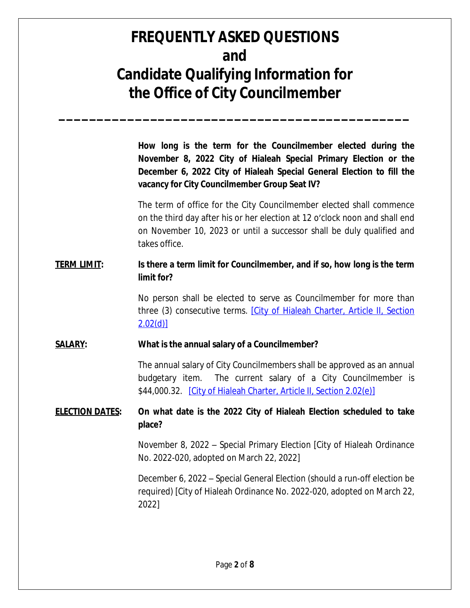**\_\_\_\_\_\_\_\_\_\_\_\_\_\_\_\_\_\_\_\_\_\_\_\_\_\_\_\_\_\_\_\_\_\_\_\_\_\_\_\_\_\_\_\_\_\_**

**How long is the term for the Councilmember elected during the November 8, 2022 City of Hialeah Special Primary Election or the December 6, 2022 City of Hialeah Special General Election to fill the vacancy for City Councilmember Group Seat IV?**

The term of office for the City Councilmember elected shall commence on the third day after his or her election at 12 o'clock noon and shall end on November 10, 2023 or until a successor shall be duly qualified and takes office.

### **TERM LIMIT: Is there a term limit for Councilmember, and if so, how long is the term limit for?**

No person shall be elected to serve as Councilmember for more than three (3) consecutive terms. [\[City of Hialeah Charter, Article II, Section](https://www.municode.com/library/fl/hialeah/codes/code_of_ordinances?nodeId=PTICH_ARTIIMACO_S2.01MA) [2.02\(d\)\]](https://www.municode.com/library/fl/hialeah/codes/code_of_ordinances?nodeId=PTICH_ARTIIMACO_S2.01MA)

#### **[SALARY:](https://www.municode.com/library/fl/hialeah/codes/code_of_ordinances?nodeId=PTICH_ARTIIMACO_S2.01MA) [What is the annual salary of a Councilmember?](https://www.municode.com/library/fl/hialeah/codes/code_of_ordinances?nodeId=PTICH_ARTIIMACO_S2.01MA)**

The annual salary of City [Councilmembers](https://www.municode.com/library/fl/hialeah/codes/code_of_ordinances?nodeId=PTICH_ARTIIMACO_S2.01MA) [shall](https://www.municode.com/library/fl/hialeah/codes/code_of_ordinances?nodeId=PTICH_ARTIIMACO_S2.01MA) be [approved](https://www.municode.com/library/fl/hialeah/codes/code_of_ordinances?nodeId=PTICH_ARTIIMACO_S2.01MA) as an annual [budgetary](https://www.municode.com/library/fl/hialeah/codes/code_of_ordinances?nodeId=PTICH_ARTIIMACO_S2.01MA) item. The current salary of a City [Councilmember](https://www.municode.com/library/fl/hialeah/codes/code_of_ordinances?nodeId=PTICH_ARTIIMACO_S2.01MA) is [\\$44,000.32. \[City of Hialeah Charter, Article II, Section 2.02\(e\)\]](https://www.municode.com/library/fl/hialeah/codes/code_of_ordinances?nodeId=PTICH_ARTIIMACO_S2.01MA)

### **[ELECTION DATES:](https://www.municode.com/library/fl/hialeah/codes/code_of_ordinances?nodeId=PTICH_ARTIIMACO_S2.01MA) [O](https://www.municode.com/library/fl/hialeah/codes/code_of_ordinances?nodeId=PTICH_ARTIIMACO_S2.01MA)n [what](https://www.municode.com/library/fl/hialeah/codes/code_of_ordinances?nodeId=PTICH_ARTIIMACO_S2.01MA) date is the 2022 City of [Hialeah](https://www.municode.com/library/fl/hialeah/codes/code_of_ordinances?nodeId=PTICH_ARTIIMACO_S2.01MA) Election [scheduled](https://www.municode.com/library/fl/hialeah/codes/code_of_ordinances?nodeId=PTICH_ARTIIMACO_S2.01MA) to [take](https://www.municode.com/library/fl/hialeah/codes/code_of_ordinances?nodeId=PTICH_ARTIIMACO_S2.01MA) [place?](https://www.municode.com/library/fl/hialeah/codes/code_of_ordinances?nodeId=PTICH_ARTIIMACO_S2.01MA)**

[November](https://www.municode.com/library/fl/hialeah/codes/code_of_ordinances?nodeId=PTICH_ARTIIMACO_S2.01MA) 8, 2022 – Special Primary Election [[Cit](https://www.municode.com/library/fl/hialeah/codes/code_of_ordinances?nodeId=PTICH_ARTIIMACO_S2.01MA)y of Hialeah [Ordinance](https://www.municode.com/library/fl/hialeah/codes/code_of_ordinances?nodeId=PTICH_ARTIIMACO_S2.01MA) [No. 2022-020, adopted on March 22, 2022\]](https://www.municode.com/library/fl/hialeah/codes/code_of_ordinances?nodeId=PTICH_ARTIIMACO_S2.01MA)

[December](https://www.municode.com/library/fl/hialeah/codes/code_of_ordinances?nodeId=PTICH_ARTIIMACO_S2.01MA) 6, [2022](https://www.municode.com/library/fl/hialeah/codes/code_of_ordinances?nodeId=PTICH_ARTIIMACO_S2.01MA) [–](https://www.municode.com/library/fl/hialeah/codes/code_of_ordinances?nodeId=PTICH_ARTIIMACO_S2.01MA) [Special](https://www.municode.com/library/fl/hialeah/codes/code_of_ordinances?nodeId=PTICH_ARTIIMACO_S2.01MA) [General](https://www.municode.com/library/fl/hialeah/codes/code_of_ordinances?nodeId=PTICH_ARTIIMACO_S2.01MA) [Election](https://www.municode.com/library/fl/hialeah/codes/code_of_ordinances?nodeId=PTICH_ARTIIMACO_S2.01MA) (should a run-off [election](https://www.municode.com/library/fl/hialeah/codes/code_of_ordinances?nodeId=PTICH_ARTIIMACO_S2.01MA) be [required\)](https://www.municode.com/library/fl/hialeah/codes/code_of_ordinances?nodeId=PTICH_ARTIIMACO_S2.01MA) [\[Ci](https://www.municode.com/library/fl/hialeah/codes/code_of_ordinances?nodeId=PTICH_ARTIIMACO_S2.01MA)ty of Hialeah [Ordinance](https://www.municode.com/library/fl/hialeah/codes/code_of_ordinances?nodeId=PTICH_ARTIIMACO_S2.01MA) No. 2022-020, [adopted](https://www.municode.com/library/fl/hialeah/codes/code_of_ordinances?nodeId=PTICH_ARTIIMACO_S2.01MA) on [March](https://www.municode.com/library/fl/hialeah/codes/code_of_ordinances?nodeId=PTICH_ARTIIMACO_S2.01MA) 22, [2022\]](https://www.municode.com/library/fl/hialeah/codes/code_of_ordinances?nodeId=PTICH_ARTIIMACO_S2.01MA)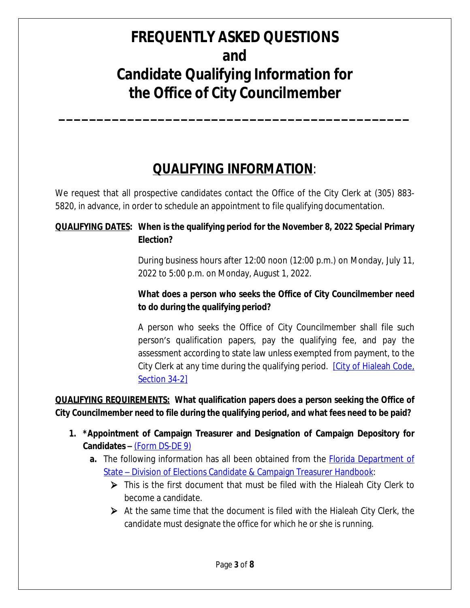**\_\_\_\_\_\_\_\_\_\_\_\_\_\_\_\_\_\_\_\_\_\_\_\_\_\_\_\_\_\_\_\_\_\_\_\_\_\_\_\_\_\_\_\_\_\_**

## **QUALIFYING INFORMATION**:

We request that all prospective candidates contact the Office of the City Clerk at (305) 883- 5820, in advance, in order to schedule an appointment to file qualifying documentation.

### **QUALIFYING DATES: When is the qualifying period for the November 8, 2022 Special Primary Election?**

During business hours after 12:00 noon (12:00 p.m.) on Monday, July 11, 2022 to 5:00 p.m. on Monday, August 1, 2022.

### **What does a person who seeks the Office of City Councilmember need to do during the qualifying period?**

A person who seeks the Office of City Councilmember shall file such person's qualification papers, pay the qualifying fee, and pay the assessment according to state law unless exempted from payment, to the City Clerk at any time during the qualifying period. [\[City of Hialeah Code,](https://www.municode.com/library/fl/hialeah/codes/code_of_ordinances?nodeId=PTIICOOR_CH34EL_S34-2QUPEMACO) Section 34-2]

### **QUALIFYING REQUIREMENTS: What qualification papers does a person seeking the Office of City Councilmember need to file during the qualifying period, and what fees need to be paid?**

- **1. \*Appointment of Campaign Treasurer and Designation of Campaign Depository for Candidates –** [\(Form DS-DE 9\)](../Candidate%20Forms/Qualifying%20Forms/dsde9%20(Rev.%2010-2010).pdf)
	- **a.** The following [information](../Candidate%20Forms/Qualifying%20Forms/dsde9%20(Rev.%2010-2010).pdf) has all been obtained from [the](../Candidate%20Forms/Qualifying%20Forms/dsde9%20(Rev.%2010-2010).pdf) **[Florida Department of](https://fldoswebumbracoprod.blob.core.windows.net/media/702477/candidate-campaign-treasurer-handbook-2020.pdf)** State – Division of Elections Candidate & Campaign Treasurer Handbook:
		- This is the first document that must be filed with the Hialeah City Clerk to become a candidate.
		- $\triangleright$  At the same time that the document is filed with the Hialeah City Clerk, the candidate must designate the office for which he or she is running.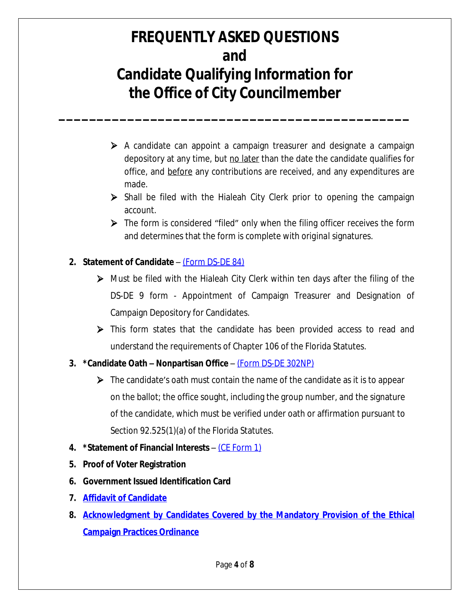**\_\_\_\_\_\_\_\_\_\_\_\_\_\_\_\_\_\_\_\_\_\_\_\_\_\_\_\_\_\_\_\_\_\_\_\_\_\_\_\_\_\_\_\_\_\_**

- $\triangleright$  A candidate can appoint a campaign treasurer and designate a campaign depository at any time, but no later than the date the candidate qualifies for office, and before any contributions are received, and any expenditures are made.
- $\triangleright$  Shall be filed with the Hialeah City Clerk prior to opening the campaign account.
- $\triangleright$  The form is considered "filed" only when the filing officer receives the form and determines that the form is complete with *original* signatures.

### **2. Statement of Candidate** – [\(Form DS-DE 84\)](http://dos.myflorida.com/media/693280/dsde84.pdf)

- $\triangleright$  Must be filed with the Hialeah City Clerk within ten days after the filing of the DS-DE 9 form - Appointment of Campaign Treasurer and Designation of Campaign Depository for Candidates.
- This form states that the candidate has been provided access to read and understand the requirements of Chapter 106 of the Florida Statutes.

### **3. \*Candidate Oath – Nonpartisan Office** – [\(Form DS-DE 302NP\)](https://fldoswebumbracoprod.blob.core.windows.net/media/703962/dsde302np-nop-oath-feb-2020.pdf)

- $\triangleright$  The candidate's oath must contain the name of the candidate as it is to appear [on the ballot; the office sought, including the group number, and the signature](https://fldoswebumbracoprod.blob.core.windows.net/media/703962/dsde302np-nop-oath-feb-2020.pdf)  [of the candidate, which must be verified under oath or affirmation pursuant to](https://fldoswebumbracoprod.blob.core.windows.net/media/703962/dsde302np-nop-oath-feb-2020.pdf)  [Section 92.525\(1\)\(a\) of the Florida Statutes.](https://fldoswebumbracoprod.blob.core.windows.net/media/703962/dsde302np-nop-oath-feb-2020.pdf)
- **4. [\\*Statement of Financial Interests](https://fldoswebumbracoprod.blob.core.windows.net/media/703962/dsde302np-nop-oath-feb-2020.pdf)** [–](https://fldoswebumbracoprod.blob.core.windows.net/media/703962/dsde302np-nop-oath-feb-2020.pdf) [\(CE Form 1\)](../Candidate%20Forms/Qualifying%20Forms/Form%201_2021.pdf)
- **5. Proof of Voter Registration**
- **6. Government Issued Identification Card**
- **7. [Affidavit of Candidate](../Candidate%20Forms/Qualifying%20Forms/AFFIDAVIT%20OF%20CANDIDATE%20FORM.pdf)**
- **8. [Acknowledgment by Candidates Covered by the Mandatory Provision of the Ethical](../Candidate%20Forms/Qualifying%20Forms/Ethical_Campaign_Practices%20acknowledged%20form-%20Mandatory%20Provision.pdf) Campaign Practices Ordinance**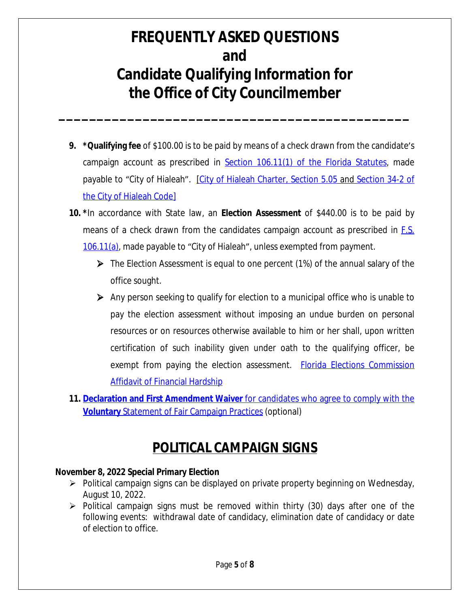**\_\_\_\_\_\_\_\_\_\_\_\_\_\_\_\_\_\_\_\_\_\_\_\_\_\_\_\_\_\_\_\_\_\_\_\_\_\_\_\_\_\_\_\_\_\_**

- **9. \*Qualifying fee** of \$100.00 is to be paid by means of a check drawn from the candidate's campaign account as prescribed in **Section 106.11(1)** of the Florida Statutes, made payable to "City of Hialeah". [[City of Hialeah Charter, Section 5.05](https://www.municode.com/library/fl/hialeah/codes/code_of_ordinances?nodeId=PTICH_ARTVEL_S5.05QU) and [Section 34-2 of](https://library.municode.com/fl/hialeah/codes/code_of_ordinances?nodeId=PTIICOOR_CH34EL_S34-2QUPEMACO) [the City of Hialeah Code\]](https://library.municode.com/fl/hialeah/codes/code_of_ordinances?nodeId=PTIICOOR_CH34EL_S34-2QUPEMACO)
- **10. [\\*](https://library.municode.com/fl/hialeah/codes/code_of_ordinances?nodeId=PTIICOOR_CH34EL_S34-2QUPEMACO)**In [accordance](https://library.municode.com/fl/hialeah/codes/code_of_ordinances?nodeId=PTIICOOR_CH34EL_S34-2QUPEMACO) with State law, an **Election [Assessment](https://library.municode.com/fl/hialeah/codes/code_of_ordinances?nodeId=PTIICOOR_CH34EL_S34-2QUPEMACO)** of [\\$440.00](https://library.municode.com/fl/hialeah/codes/code_of_ordinances?nodeId=PTIICOOR_CH34EL_S34-2QUPEMACO) is to be paid by means of a check drawn from the [candidates](https://library.municode.com/fl/hialeah/codes/code_of_ordinances?nodeId=PTIICOOR_CH34EL_S34-2QUPEMACO) campaign account as prescribed in [F.S.](https://www.flsenate.gov/Laws/Statutes/2020/0106.11) 106.11(a), made payable to "City of Hialeah", unless exempted from payment.
	- The Election Assessment is equal to one percent (1%) of the annual salary of the office sought.
	- $\triangleright$  Any person seeking to qualify for election to a municipal office who is unable to pay the election assessment without imposing an undue burden on personal resources or on resources otherwise available to him or her shall, upon written certification of such inability given under oath to the qualifying officer, be exempt from paying the election assessment. **[Florida Elections Commission](../Candidate%20Forms/Qualifying%20Forms/Affidavit%20of%20Financial%20Hardship-updated.pdf)** Affidavit of Financial Hardship
- **11. [Declaration and First Amendment Waiver](../Candidate%20Forms/Qualifying%20Forms/Declaration%20and%20First%20Amendment%20Waiver%20(Voluntary).pdf)** [for candidates who agree to comply with the](../Candidate%20Forms/Qualifying%20Forms/Declaration%20and%20First%20Amendment%20Waiver%20(Voluntary).pdf) **[Voluntary](../Candidate%20Forms/Qualifying%20Forms/Declaration%20and%20First%20Amendment%20Waiver%20(Voluntary).pdf)** [Statement of Fair Campaign Practices](../Candidate%20Forms/Qualifying%20Forms/Declaration%20and%20First%20Amendment%20Waiver%20(Voluntary).pdf) (optional)

## **POLITICAL CAMPAIGN SIGNS**

#### **November 8, 2022 Special Primary Election**

- $\triangleright$  Political campaign signs can be displayed on private property beginning on Wednesday, August 10, 2022.
- $\triangleright$  Political campaign signs must be removed within thirty (30) days after one of the following events: withdrawal date of candidacy, elimination date of candidacy or date of election to office.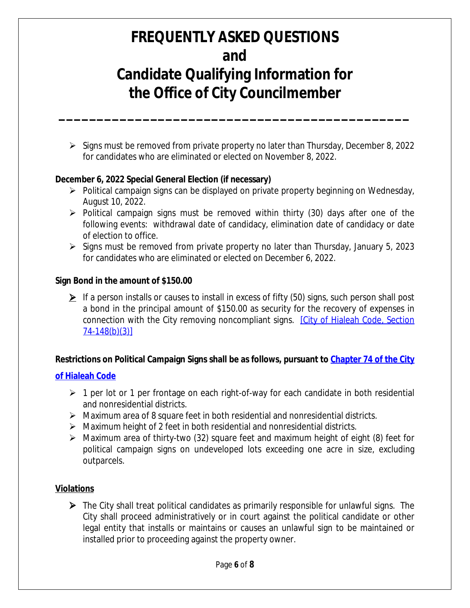**\_\_\_\_\_\_\_\_\_\_\_\_\_\_\_\_\_\_\_\_\_\_\_\_\_\_\_\_\_\_\_\_\_\_\_\_\_\_\_\_\_\_\_\_\_\_**

 $\triangleright$  Signs must be removed from private property no later than Thursday, December 8, 2022 for candidates who are eliminated or elected on November 8, 2022.

#### **December 6, 2022 Special General Election (if necessary)**

- $\triangleright$  Political campaign signs can be displayed on private property beginning on Wednesday, August 10, 2022.
- $\triangleright$  Political campaign signs must be removed within thirty (30) days after one of the following events: withdrawal date of candidacy, elimination date of candidacy or date of election to office.
- $\triangleright$  Signs must be removed from private property no later than Thursday, January 5, 2023 for candidates who are eliminated or elected on December 6, 2022.

#### **Sign Bond in the amount of \$150.00**

 $\triangleright$  If a person installs or causes to install in excess of fifty (50) signs, such person shall post a bond in the principal amount of \$150.00 as security for the recovery of expenses in connection with the City removing noncompliant signs. [\[City of Hialeah Code, Section](https://www.municode.com/library/fl/hialeah/codes/code_of_ordinances?nodeId=PTIICOOR_CH74SI_ARTIIIRE_DIV1GE_S74-148SPPUSI) 74-148(b)(3)]

#### **Restrictions on Political Campaign Signs shall be as follows, pursuant to [Chapter 74 of the City](https://library.municode.com/fl/hialeah/codes/code_of_ordinances?nodeId=PTIICOOR_CH74SI)**

#### **of Hialeah Code**

- $\geq 1$  per lot or 1 per frontage on each right-of-way for each candidate in both residential and nonresidential districts.
- $\triangleright$  Maximum area of 8 square feet in both residential and nonresidential districts.
- $\triangleright$  Maximum height of 2 feet in both residential and nonresidential districts.
- Maximum area of thirty-two (32) square feet and maximum height of eight (8) feet for political campaign signs on undeveloped lots exceeding one acre in size, excluding outparcels.

#### **Violations**

 $\triangleright$  The City shall treat political candidates as primarily responsible for unlawful signs. The City shall proceed administratively or in court against the political candidate or other legal entity that installs or maintains or causes an unlawful sign to be maintained or installed prior to proceeding against the property owner.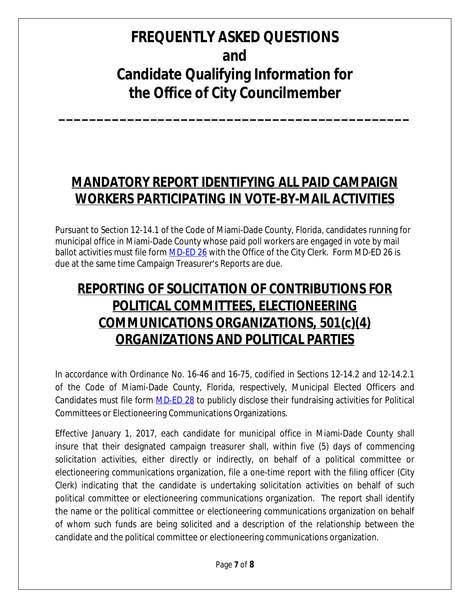**\_\_\_\_\_\_\_\_\_\_\_\_\_\_\_\_\_\_\_\_\_\_\_\_\_\_\_\_\_\_\_\_\_\_\_\_\_\_\_\_\_\_\_\_\_\_**

## **MANDATORY REPORT IDENTIFYING ALL PAID CAMPAIGN WORKERS PARTICIPATING IN VOTE-BY-MAIL ACTIVITIES**

Pursuant to Section 12-14.1 of the Code of Miami-Dade County, Florida, candidates running for municipal office in Miami-Dade County whose paid poll workers are engaged in vote by mail ballot activities must file form MD-ED 26 with the Office of the City Clerk. Form MD-ED 26 is [due at the same time Campaign Treasurer](http://www.miamidade.gov/elections/Library/run-for-office/md-ed26.pdf)'s Reports are due.

## **[REPORTING OF SOLICITATION OF CONTRIBUTIONS FOR](http://www.miamidade.gov/elections/Library/run-for-office/md-ed26.pdf) [POLITICAL COMMITTEES, ELECTIONEERING](http://www.miamidade.gov/elections/Library/run-for-office/md-ed26.pdf) [COMMUNICATIONS ORGANIZATIONS, 501\(c\)\(4\)](http://www.miamidade.gov/elections/Library/run-for-office/md-ed26.pdf) [ORGANIZATIONS AND POLITICAL PARTIES](http://www.miamidade.gov/elections/Library/run-for-office/md-ed26.pdf)**

In [accordance](http://www.miamidade.gov/elections/Library/run-for-office/md-ed26.pdf) with Ordinance No. 16-46 and 16-75, codified in Sections 12-14.2 and 12-14.2.1 of the Code of Miami-Dade County, Florida, [respectively,](http://www.miamidade.gov/elections/Library/run-for-office/md-ed26.pdf) Municipal Elected Officers and [Candidates](http://www.miamidade.gov/elections/Library/run-for-office/md-ed26.pdf) must file form **[MD-ED 28](http://www.miamidade.gov/elections/library/qualifying-handbook/reporting-of-solicitation-of-contributions.pdf)** to publicly disclose their fundraising activities for Political Committees or Electioneering Communications Organizations.

Effective January 1, 2017, each candidate for municipal office in Miami-Dade County shall insure that their designated campaign treasurer shall, within five (5) days of commencing solicitation activities, either directly or indirectly, on behalf of a political committee or electioneering communications organization, file a one-time report with the filing officer (City Clerk) indicating that the candidate is undertaking solicitation activities on behalf of such political committee or electioneering communications organization. The report shall identify the name or the political committee or electioneering communications organization on behalf of whom such funds are being solicited and a description of the relationship between the candidate and the political committee or electioneering communications organization.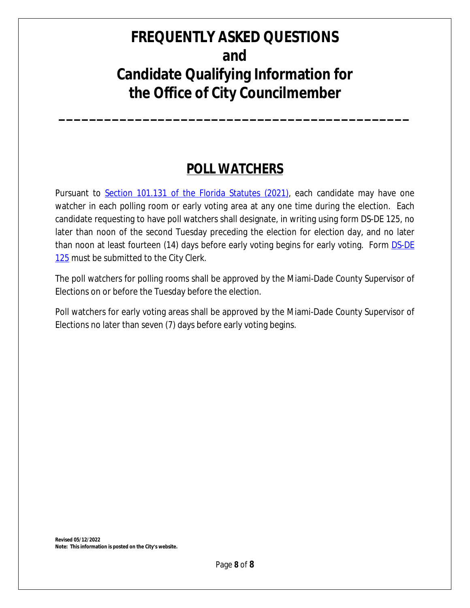**\_\_\_\_\_\_\_\_\_\_\_\_\_\_\_\_\_\_\_\_\_\_\_\_\_\_\_\_\_\_\_\_\_\_\_\_\_\_\_\_\_\_\_\_\_\_**

### **POLL WATCHERS**

Pursuant to [Section 101.131 of the Florida Statutes \(2021\)](http://www.leg.state.fl.us/STATUTES/index.cfm?App_mode=Display_Statute&Search_String=&URL=0100-0199/0101/Sections/0101.131.html), each candidate may have one watcher in each polling room or early voting area at any one time during the election. Each candidate requesting to have poll watchers shall designate, in writing using form DS-DE 125, no later than noon of the second Tuesday preceding the election for election day, and no later than noon at least fourteen (14) days before early voting begins for early voting. Form **[DS-DE](https://dos.myflorida.com/media/696684/dsde125.pdf)** [125](https://dos.myflorida.com/media/696684/dsde125.pdf) must be submitted to the City Clerk.

The poll watchers for polling rooms shall be approved by the Miami-Dade County Supervisor of Elections on or before the Tuesday before the election.

Poll watchers for early voting areas shall be approved by the Miami-Dade County Supervisor of Elections no later than seven (7) days before early voting begins.